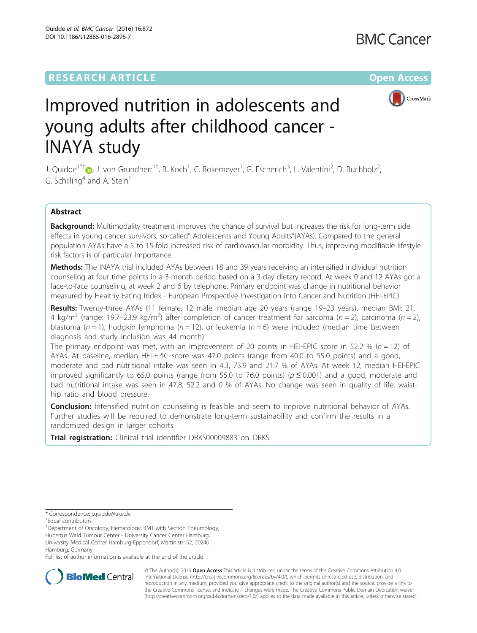Quidde et al. BMC Cancer (2016) 16:872 DOI 10.1186/s12885-016-2896-7



# Improved nutrition in adolescents and young adults after childhood cancer - INAYA study

J. Quidde<sup>1\*†</sup>®, J. von Grundherr<sup>1†</sup>, B. Koch<sup>1</sup>, C. Bokemeyer<sup>1</sup>, G. Escherich<sup>3</sup>, L. Valentini<sup>2</sup>, D. Buchholz<sup>2</sup> , G. Schilling<sup>4</sup> and A. Stein<sup>1</sup>

## Abstract

Background: Multimodality treatment improves the chance of survival but increases the risk for long-term side effects in young cancer survivors, so-called" Adolescents and Young Adults"(AYAs). Compared to the general population AYAs have a 5 to 15-fold increased risk of cardiovascular morbidity. Thus, improving modifiable lifestyle risk factors is of particular importance.

Methods: The INAYA trial included AYAs between 18 and 39 years receiving an intensified individual nutrition counseling at four time points in a 3-month period based on a 3-day dietary record. At week 0 and 12 AYAs got a face-to-face counseling, at week 2 and 6 by telephone. Primary endpoint was change in nutritional behavior measured by Healthy Eating Index - European Prospective Investigation into Cancer and Nutrition (HEI-EPIC).

Results: Twenty-three AYAs (11 female, 12 male, median age 20 years (range 19-23 years), median BMI: 21. 4 kg/m<sup>2</sup> (range: 19.7–23.9 kg/m<sup>2</sup>) after completion of cancer treatment for sarcoma (n = 2), carcinoma (n = 2), blastoma ( $n = 1$ ), hodgkin lymphoma ( $n = 12$ ), or leukemia ( $n = 6$ ) were included (median time between diagnosis and study inclusion was 44 month).

The primary endpoint was met, with an improvement of 20 points in HEI-EPIC score in 52.2 % ( $n = 12$ ) of AYAs. At baseline, median HEI-EPIC score was 47.0 points (range from 40.0 to 55.0 points) and a good, moderate and bad nutritional intake was seen in 4.3, 73.9 and 21.7 % of AYAs. At week 12, median HEI-EPIC improved significantly to 65.0 points (range from 55.0 to 76.0 points) ( $p \le 0.001$ ) and a good, moderate and bad nutritional intake was seen in 47.8, 52.2 and 0 % of AYAs. No change was seen in quality of life, waisthip ratio and blood pressure.

**Conclusion:** Intensified nutrition counseling is feasible and seem to improve nutritional behavior of AYAs. Further studies will be required to demonstrate long-term sustainability and confirm the results in a randomized design in larger cohorts.

Trial registration: Clinical trial identifier [DRKS00009883](https://drks-neu.uniklinik-freiburg.de/drks_web/navigate.do?navigationId=trial.HTML&TRIAL_ID=DRKS00009883) on DRKS

University Medical Center Hamburg-Eppendorf, Martinistr. 52, 20246 Hamburg, Germany

Full list of author information is available at the end of the article



© The Author(s). 2016 Open Access This article is distributed under the terms of the Creative Commons Attribution 4.0 International License [\(http://creativecommons.org/licenses/by/4.0/](http://creativecommons.org/licenses/by/4.0/)), which permits unrestricted use, distribution, and reproduction in any medium, provided you give appropriate credit to the original author(s) and the source, provide a link to the Creative Commons license, and indicate if changes were made. The Creative Commons Public Domain Dedication waiver [\(http://creativecommons.org/publicdomain/zero/1.0/](http://creativecommons.org/publicdomain/zero/1.0/)) applies to the data made available in this article, unless otherwise stated.

<sup>\*</sup> Correspondence: [j.quidde@uke.de](mailto:j.quidde@uke.de) †

Equal contributors

<sup>&</sup>lt;sup>1</sup>Department of Oncology, Hematology, BMT with Section Pneumology, Hubertus Wald Tumour Center - University Cancer Center Hamburg,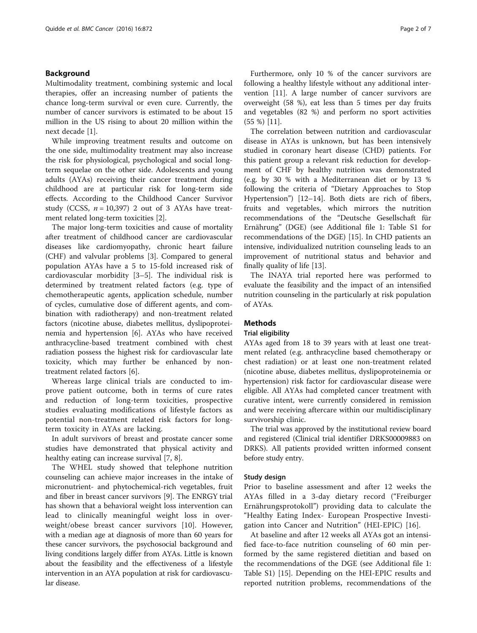## Background

Multimodality treatment, combining systemic and local therapies, offer an increasing number of patients the chance long-term survival or even cure. Currently, the number of cancer survivors is estimated to be about 15 million in the US rising to about 20 million within the next decade [[1\]](#page-6-0).

While improving treatment results and outcome on the one side, multimodality treatment may also increase the risk for physiological, psychological and social longterm sequelae on the other side. Adolescents and young adults (AYAs) receiving their cancer treatment during childhood are at particular risk for long-term side effects. According to the Childhood Cancer Survivor study (CCSS,  $n = 10,397$ ) 2 out of 3 AYAs have treatment related long-term toxicities [[2\]](#page-6-0).

The major long-term toxicities and cause of mortality after treatment of childhood cancer are cardiovascular diseases like cardiomyopathy, chronic heart failure (CHF) and valvular problems [\[3](#page-6-0)]. Compared to general population AYAs have a 5 to 15-fold increased risk of cardiovascular morbidity [\[3](#page-6-0)–[5](#page-6-0)]. The individual risk is determined by treatment related factors (e.g. type of chemotherapeutic agents, application schedule, number of cycles, cumulative dose of different agents, and combination with radiotherapy) and non-treatment related factors (nicotine abuse, diabetes mellitus, dyslipoproteinemia and hypertension [[6\]](#page-6-0). AYAs who have received anthracycline-based treatment combined with chest radiation possess the highest risk for cardiovascular late toxicity, which may further be enhanced by nontreatment related factors [[6\]](#page-6-0).

Whereas large clinical trials are conducted to improve patient outcome, both in terms of cure rates and reduction of long-term toxicities, prospective studies evaluating modifications of lifestyle factors as potential non-treatment related risk factors for longterm toxicity in AYAs are lacking.

In adult survivors of breast and prostate cancer some studies have demonstrated that physical activity and healthy eating can increase survival [[7, 8\]](#page-6-0).

The WHEL study showed that telephone nutrition counseling can achieve major increases in the intake of micronutrient- and phytochemical-rich vegetables, fruit and fiber in breast cancer survivors [\[9](#page-6-0)]. The ENRGY trial has shown that a behavioral weight loss intervention can lead to clinically meaningful weight loss in overweight/obese breast cancer survivors [[10](#page-6-0)]. However, with a median age at diagnosis of more than 60 years for these cancer survivors, the psychosocial background and living conditions largely differ from AYAs. Little is known about the feasibility and the effectiveness of a lifestyle intervention in an AYA population at risk for cardiovascular disease.

Furthermore, only 10 % of the cancer survivors are following a healthy lifestyle without any additional intervention [[11\]](#page-6-0). A large number of cancer survivors are overweight (58 %), eat less than 5 times per day fruits and vegetables (82 %) and perform no sport activities (55 %) [[11\]](#page-6-0).

The correlation between nutrition and cardiovascular disease in AYAs is unknown, but has been intensively studied in coronary heart disease (CHD) patients. For this patient group a relevant risk reduction for development of CHF by healthy nutrition was demonstrated (e.g. by 30 % with a Mediterranean diet or by 13 % following the criteria of "Dietary Approaches to Stop Hypertension") [\[12](#page-6-0)–[14\]](#page-6-0). Both diets are rich of fibers, fruits and vegetables, which mirrors the nutrition recommendations of the "Deutsche Gesellschaft für Ernährung" (DGE) (see Additional file [1](#page-5-0): Table S1 for recommendations of the DGE) [\[15](#page-6-0)]. In CHD patients an intensive, individualized nutrition counseling leads to an improvement of nutritional status and behavior and finally quality of life [\[13](#page-6-0)].

The INAYA trial reported here was performed to evaluate the feasibility and the impact of an intensified nutrition counseling in the particularly at risk population of AYAs.

## Methods

## Trial eligibility

AYAs aged from 18 to 39 years with at least one treatment related (e.g. anthracycline based chemotherapy or chest radiation) or at least one non-treatment related (nicotine abuse, diabetes mellitus, dyslipoproteinemia or hypertension) risk factor for cardiovascular disease were eligible. All AYAs had completed cancer treatment with curative intent, were currently considered in remission and were receiving aftercare within our multidisciplinary survivorship clinic.

The trial was approved by the institutional review board and registered (Clinical trial identifier DRKS00009883 on DRKS). All patients provided written informed consent before study entry.

## Study design

Prior to baseline assessment and after 12 weeks the AYAs filled in a 3-day dietary record ("Freiburger Ernährungsprotokoll") providing data to calculate the "Healthy Eating Index- European Prospective Investigation into Cancer and Nutrition" (HEI-EPIC) [[16\]](#page-6-0).

At baseline and after 12 weeks all AYAs got an intensified face-to-face nutrition counseling of 60 min performed by the same registered dietitian and based on the recommendations of the DGE (see Additional file [1](#page-5-0): Table S1) [[15](#page-6-0)]. Depending on the HEI-EPIC results and reported nutrition problems, recommendations of the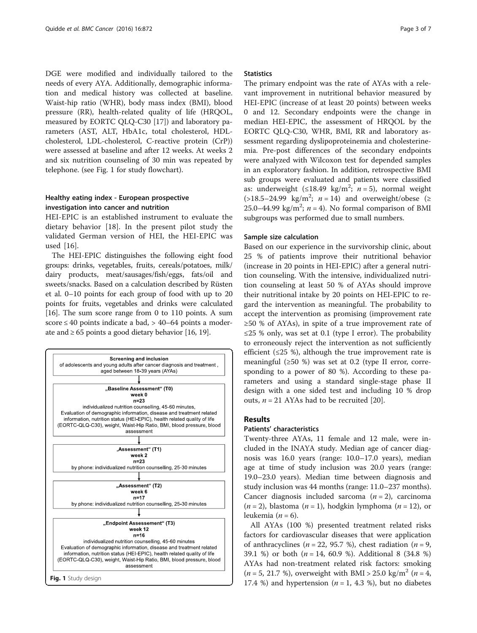DGE were modified and individually tailored to the needs of every AYA. Additionally, demographic information and medical history was collected at baseline. Waist-hip ratio (WHR), body mass index (BMI), blood pressure (RR), health-related quality of life (HRQOL, measured by EORTC QLQ-C30 [[17\]](#page-6-0)) and laboratory parameters (AST, ALT, HbA1c, total cholesterol, HDLcholesterol, LDL-cholesterol, C-reactive protein (CrP)) were assessed at baseline and after 12 weeks. At weeks 2 and six nutrition counseling of 30 min was repeated by telephone. (see Fig. 1 for study flowchart).

## Healthy eating index - European prospective investigation into cancer and nutrition

HEI-EPIC is an established instrument to evaluate the dietary behavior [[18](#page-6-0)]. In the present pilot study the validated German version of HEI, the HEI-EPIC was used [[16\]](#page-6-0).

The HEI-EPIC distinguishes the following eight food groups: drinks, vegetables, fruits, cereals/potatoes, milk/ dairy products, meat/sausages/fish/eggs, fats/oil and sweets/snacks. Based on a calculation described by Rüsten et al. 0–10 points for each group of food with up to 20 points for fruits, vegetables and drinks were calculated [[16](#page-6-0)]. The sum score range from 0 to 110 points. A sum score  $\leq 40$  points indicate a bad,  $> 40-64$  points a moderate and  $\geq 65$  points a good dietary behavior [[16, 19\]](#page-6-0).



## **Statistics**

The primary endpoint was the rate of AYAs with a relevant improvement in nutritional behavior measured by HEI-EPIC (increase of at least 20 points) between weeks 0 and 12. Secondary endpoints were the change in median HEI-EPIC, the assessment of HRQOL by the EORTC QLQ-C30, WHR, BMI, RR and laboratory assessment regarding dyslipoproteinemia and cholesterinemia. Pre-post differences of the secondary endpoints were analyzed with Wilcoxon test for depended samples in an exploratory fashion. In addition, retrospective BMI sub groups were evaluated and patients were classified as: underweight  $(\leq 18.49 \text{ kg/m}^2; n = 5)$ , normal weight  $(>18.5-24.99 \text{ kg/m}^2; n = 14)$  and overweight/obese ( $\ge$ 25.0–44.99 kg/m<sup>2</sup>;  $n = 4$ ). No formal comparison of BMI subgroups was performed due to small numbers.

## Sample size calculation

Based on our experience in the survivorship clinic, about 25 % of patients improve their nutritional behavior (increase in 20 points in HEI-EPIC) after a general nutrition counseling. With the intensive, individualized nutrition counseling at least 50 % of AYAs should improve their nutritional intake by 20 points on HEI-EPIC to regard the intervention as meaningful. The probability to accept the intervention as promising (improvement rate ≥50 % of AYAs), in spite of a true improvement rate of ≤25 % only, was set at 0.1 (type I error). The probability to erroneously reject the intervention as not sufficiently efficient ( $\leq$ 25 %), although the true improvement rate is meaningful (≥50 %) was set at 0.2 (type II error, corresponding to a power of 80 %). According to these parameters and using a standard single-stage phase II design with a one sided test and including 10 % drop outs,  $n = 21$  AYAs had to be recruited [[20\]](#page-6-0).

## Results

## Patients' characteristics

Twenty-three AYAs, 11 female and 12 male, were included in the INAYA study. Median age of cancer diagnosis was 16.0 years (range: 10.0–17.0 years), median age at time of study inclusion was 20.0 years (range: 19.0–23.0 years). Median time between diagnosis and study inclusion was 44 months (range: 11.0–237 months). Cancer diagnosis included sarcoma  $(n = 2)$ , carcinoma  $(n = 2)$ , blastoma  $(n = 1)$ , hodgkin lymphoma  $(n = 12)$ , or leukemia ( $n = 6$ ).

All AYAs (100 %) presented treatment related risks factors for cardiovascular diseases that were application of anthracyclines ( $n = 22$ , 95.7 %), chest radiation ( $n = 9$ , 39.1 %) or both  $(n = 14, 60.9)$ . Additional 8 (34.8 %) AYAs had non-treatment related risk factors: smoking  $(n = 5, 21.7 \%)$ , overweight with BMI > 25.0 kg/m<sup>2</sup> (n = 4,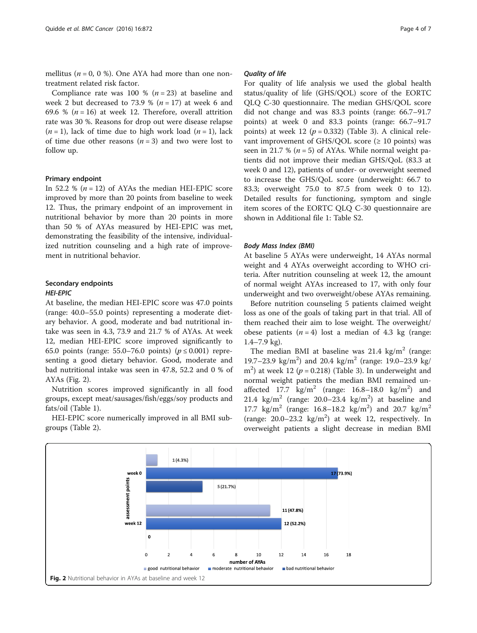mellitus ( $n = 0$ , 0 %). One AYA had more than one nontreatment related risk factor.

Compliance rate was 100 %  $(n = 23)$  at baseline and week 2 but decreased to 73.9 %  $(n = 17)$  at week 6 and 69.6 % ( $n = 16$ ) at week 12. Therefore, overall attrition rate was 30 %. Reasons for drop out were disease relapse  $(n = 1)$ , lack of time due to high work load  $(n = 1)$ , lack of time due other reasons  $(n = 3)$  and two were lost to follow up.

## Primary endpoint

In 52.2 % ( $n = 12$ ) of AYAs the median HEI-EPIC score improved by more than 20 points from baseline to week 12. Thus, the primary endpoint of an improvement in nutritional behavior by more than 20 points in more than 50 % of AYAs measured by HEI-EPIC was met, demonstrating the feasibility of the intensive, individualized nutrition counseling and a high rate of improvement in nutritional behavior.

## Secondary endpoints

## HEI-EPIC

At baseline, the median HEI-EPIC score was 47.0 points (range: 40.0–55.0 points) representing a moderate dietary behavior. A good, moderate and bad nutritional intake was seen in 4.3, 73.9 and 21.7 % of AYAs. At week 12, median HEI-EPIC score improved significantly to 65.0 points (range: 55.0–76.0 points) ( $p \le 0.001$ ) representing a good dietary behavior. Good, moderate and bad nutritional intake was seen in 47.8, 52.2 and 0 % of AYAs (Fig. 2).

Nutrition scores improved significantly in all food groups, except meat/sausages/fish/eggs/soy products and fats/oil (Table [1\)](#page-4-0).

HEI-EPIC score numerically improved in all BMI subgroups (Table [2\)](#page-4-0).

## Quality of life

For quality of life analysis we used the global health status/quality of life (GHS/QOL) score of the EORTC QLQ C-30 questionnaire. The median GHS/QOL score did not change and was 83.3 points (range: 66.7–91.7 points) at week 0 and 83.3 points (range: 66.7–91.7 points) at week 12 ( $p = 0.332$ ) (Table [3](#page-5-0)). A clinical relevant improvement of GHS/QOL score ( $\geq 10$  points) was seen in 21.7 % ( $n = 5$ ) of AYAs. While normal weight patients did not improve their median GHS/QoL (83.3 at week 0 and 12), patients of under- or overweight seemed to increase the GHS/QoL score (underweight: 66.7 to 83.3; overweight 75.0 to 87.5 from week 0 to 12). Detailed results for functioning, symptom and single item scores of the EORTC QLQ C-30 questionnaire are shown in Additional file [1](#page-5-0): Table S2.

#### Body Mass Index (BMI)

At baseline 5 AYAs were underweight, 14 AYAs normal weight and 4 AYAs overweight according to WHO criteria. After nutrition counseling at week 12, the amount of normal weight AYAs increased to 17, with only four underweight and two overweight/obese AYAs remaining.

Before nutrition counseling 5 patients claimed weight loss as one of the goals of taking part in that trial. All of them reached their aim to lose weight. The overweight/ obese patients  $(n = 4)$  lost a median of 4.3 kg (range: 1.4–7.9 kg).

The median BMI at baseline was  $21.4 \text{ kg/m}^2$  (range: 19.7–23.9 kg/m<sup>2</sup>) and 20.4 kg/m<sup>2</sup> (range: 19.0–23.9 kg/  $m<sup>2</sup>$ ) at week 12 ( $p = 0.218$ ) (Table [3](#page-5-0)). In underweight and normal weight patients the median BMI remained unaffected  $17.7 \text{ kg/m}^2$  (range:  $16.8-18.0 \text{ kg/m}^2$ ) and 21.4  $\text{kg/m}^2$  (range: 20.0–23.4  $\text{kg/m}^2$ ) at baseline and 17.7  $\text{kg/m}^2$  (range: 16.8–18.2  $\text{kg/m}^2$ ) and 20.7  $\text{kg/m}^2$ (range:  $20.0-23.2$  kg/m<sup>2</sup>) at week 12, respectively. In overweight patients a slight decrease in median BMI

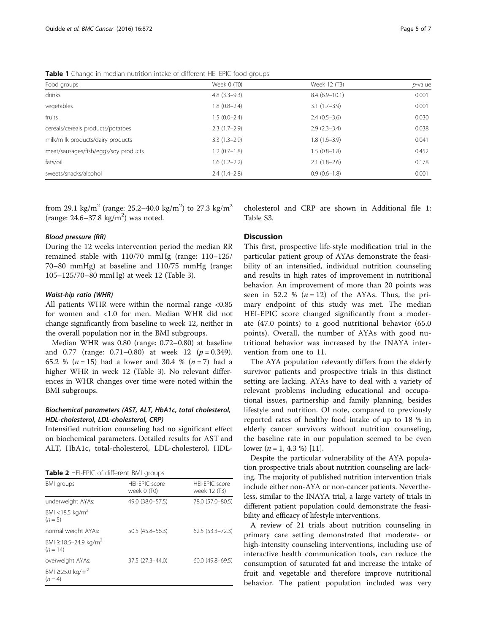<span id="page-4-0"></span>Table 1 Change in median nutrition intake of different HEI-EPIC food groups

| Food groups                          | Week 0 (T0)    | Week 12 (T3)    | $p$ -value |  |
|--------------------------------------|----------------|-----------------|------------|--|
| drinks                               | $4.8(3.3-9.3)$ | $8.4(6.9-10.1)$ | 0.001      |  |
| vegetables                           | $1.8(0.8-2.4)$ | $3.1(1.7-3.9)$  | 0.001      |  |
| fruits                               | $1.5(0.0-2.4)$ | $2.4(0.5-3.6)$  | 0.030      |  |
| cereals/cereals products/potatoes    | $2.3(1.7-2.9)$ | $2.9(2.3-3.4)$  | 0.038      |  |
| milk/milk products/dairy products    | $3.3(1.3-2.9)$ | $1.8(1.6-3.9)$  | 0.041      |  |
| meat/sausages/fish/eggs/soy products | $1.2(0.7-1.8)$ | $1.5(0.8-1.8)$  | 0.452      |  |
| fats/oil                             | $1.6(1.2-2.2)$ | $2.1(1.8-2.6)$  | 0.178      |  |
| sweets/snacks/alcohol                | $2.4(1.4-2.8)$ | $0.9(0.6-1.8)$  | 0.001      |  |

from 29.1 kg/m<sup>2</sup> (range: 25.2–40.0 kg/m<sup>2</sup>) to 27.3 kg/m<sup>2</sup> (range:  $24.6 - 37.8$  kg/m<sup>2</sup>) was noted.

## Blood pressure (RR)

During the 12 weeks intervention period the median RR remained stable with 110/70 mmHg (range: 110–125/ 70–80 mmHg) at baseline and 110/75 mmHg (range: 105–125/70–80 mmHg) at week 12 (Table [3\)](#page-5-0).

## Waist-hip ratio (WHR)

All patients WHR were within the normal range <0.85 for women and <1.0 for men. Median WHR did not change significantly from baseline to week 12, neither in the overall population nor in the BMI subgroups.

Median WHR was 0.80 (range: 0.72–0.80) at baseline and 0.77 (range:  $0.71-0.80$ ) at week 12 ( $p = 0.349$ ). 65.2 % ( $n = 15$ ) had a lower and 30.4 % ( $n = 7$ ) had a higher WHR in week 12 (Table [3\)](#page-5-0). No relevant differences in WHR changes over time were noted within the BMI subgroups.

## Biochemical parameters (AST, ALT, HbA1c, total cholesterol, HDL-cholesterol, LDL-cholesterol, CRP)

Intensified nutrition counseling had no significant effect on biochemical parameters. Detailed results for AST and ALT, HbA1c, total-cholesterol, LDL-cholesterol, HDL-

Table 2 HFI-FPIC of different BMI groups

| <b>BMI</b> groups                              | HEI-EPIC score<br>week 0 (T0) | HFI-FPIC score<br>week 12 (T3) |  |  |  |
|------------------------------------------------|-------------------------------|--------------------------------|--|--|--|
| underweight AYAs:                              | 49.0 (38.0-57.5)              | 78.0 (57.0-80.5)               |  |  |  |
| BMI <18.5 kg/m <sup>2</sup><br>$(n=5)$         |                               |                                |  |  |  |
| normal weight AYAs:                            | 50.5 (45.8-56.3)              | $62.5(53.3 - 72.3)$            |  |  |  |
| BMI ≥18.5-24.9 kg/m <sup>2</sup><br>$(n = 14)$ |                               |                                |  |  |  |
| overweight AYAs:                               | 37.5 (27.3-44.0)              | $60.0(49.8 - 69.5)$            |  |  |  |
| BMI ≥25.0 kg/m <sup>2</sup><br>$(n = 4)$       |                               |                                |  |  |  |

cholesterol and CRP are shown in Additional file [1](#page-5-0): Table S3.

## **Discussion**

This first, prospective life-style modification trial in the particular patient group of AYAs demonstrate the feasibility of an intensified, individual nutrition counseling and results in high rates of improvement in nutritional behavior. An improvement of more than 20 points was seen in 52.2 %  $(n = 12)$  of the AYAs. Thus, the primary endpoint of this study was met. The median HEI-EPIC score changed significantly from a moderate (47.0 points) to a good nutritional behavior (65.0 points). Overall, the number of AYAs with good nutritional behavior was increased by the INAYA intervention from one to 11.

The AYA population relevantly differs from the elderly survivor patients and prospective trials in this distinct setting are lacking. AYAs have to deal with a variety of relevant problems including educational and occupational issues, partnership and family planning, besides lifestyle and nutrition. Of note, compared to previously reported rates of healthy food intake of up to 18 % in elderly cancer survivors without nutrition counseling, the baseline rate in our population seemed to be even lower  $(n = 1, 4.3 %)$  [\[11](#page-6-0)].

Despite the particular vulnerability of the AYA population prospective trials about nutrition counseling are lacking. The majority of published nutrition intervention trials include either non-AYA or non-cancer patients. Nevertheless, similar to the INAYA trial, a large variety of trials in different patient population could demonstrate the feasibility and efficacy of lifestyle interventions.

A review of 21 trials about nutrition counseling in primary care setting demonstrated that moderate- or high-intensity counseling interventions, including use of interactive health communication tools, can reduce the consumption of saturated fat and increase the intake of fruit and vegetable and therefore improve nutritional behavior. The patient population included was very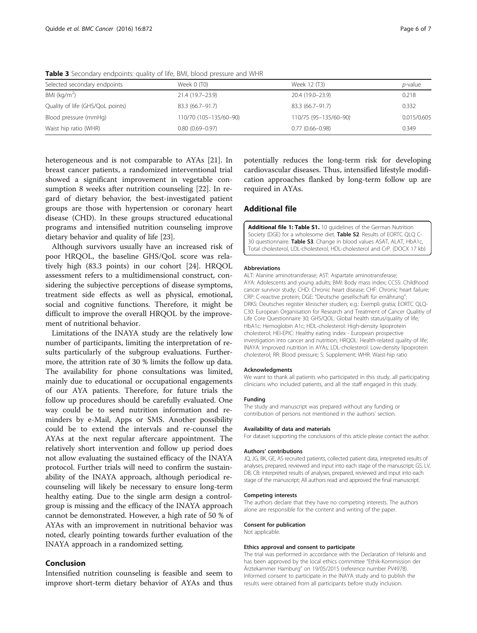| Selected secondary endpoints     | Week 0 (T0)            | Week 12 (T3)          | <i>p</i> -value |  |  |  |
|----------------------------------|------------------------|-----------------------|-----------------|--|--|--|
| BMI ( $kg/m2$ )                  | 21.4 (19.7–23.9)       | 20.4 (19.0-23.9)      | 0.218           |  |  |  |
| Quality of life (GHS/QoL points) | 83.3 (66.7-91.7)       | 83.3 (66.7-91.7)      | 0.332           |  |  |  |
| Blood pressure (mmHg)            | 110/70 (105-135/60-90) | 110/75 (95-135/60-90) | 0.015/0.605     |  |  |  |
| Waist hip ratio (WHR)            | $0.80(0.69 - 0.97)$    | $0.77(0.66 - 0.98)$   | 0.349           |  |  |  |

<span id="page-5-0"></span>Table 3 Secondary endpoints: quality of life, BMI, blood pressure and WHR

heterogeneous and is not comparable to AYAs [\[21](#page-6-0)]. In breast cancer patients, a randomized interventional trial showed a significant improvement in vegetable consumption 8 weeks after nutrition counseling [[22\]](#page-6-0). In regard of dietary behavior, the best-investigated patient groups are those with hypertension or coronary heart disease (CHD). In these groups structured educational programs and intensified nutrition counseling improve dietary behavior and quality of life [\[23](#page-6-0)].

Although survivors usually have an increased risk of poor HRQOL, the baseline GHS/QoL score was relatively high (83.3 points) in our cohort [\[24](#page-6-0)]. HRQOL assessment refers to a multidimensional construct, considering the subjective perceptions of disease symptoms, treatment side effects as well as physical, emotional, social and cognitive functions. Therefore, it might be difficult to improve the overall HRQOL by the improvement of nutritional behavior.

Limitations of the INAYA study are the relatively low number of participants, limiting the interpretation of results particularly of the subgroup evaluations. Furthermore, the attrition rate of 30 % limits the follow up data. The availability for phone consultations was limited, mainly due to educational or occupational engagements of our AYA patients. Therefore, for future trials the follow up procedures should be carefully evaluated. One way could be to send nutrition information and reminders by e-Mail, Apps or SMS. Another possibility could be to extend the intervals and re-counsel the AYAs at the next regular aftercare appointment. The relatively short intervention and follow up period does not allow evaluating the sustained efficacy of the INAYA protocol. Further trials will need to confirm the sustainability of the INAYA approach, although periodical recounseling will likely be necessary to ensure long-term healthy eating. Due to the single arm design a controlgroup is missing and the efficacy of the INAYA approach cannot be demonstrated. However, a high rate of 50 % of AYAs with an improvement in nutritional behavior was noted, clearly pointing towards further evaluation of the INAYA approach in a randomized setting.

## Conclusion

Intensified nutrition counseling is feasible and seem to improve short-term dietary behavior of AYAs and thus potentially reduces the long-term risk for developing cardiovascular diseases. Thus, intensified lifestyle modification approaches flanked by long-term follow up are required in AYAs.

## Additional file

[Additional file 1: Table S1.](dx.doi.org/10.1186/s12885-016-2896-7) 10 guidelines of the German Nutrition Society (DGE) for a wholesome diet. Table S2. Results of EORTC QLQ C-30 questionnaire. Table S3. Change in blood values ASAT, ALAT, HbA1c, Total cholesterol, LDL-cholesterol, HDL-cholesterol and CrP. (DOCX 17 kb)

## Abbreviations

ALT: Alanine aminotransferase; AST: Aspartate aminotransferase; AYA: Adolescents and young adults; BMI: Body mass index; CCSS: Childhood cancer survivor study; CHD: Chronic heart disease; CHF: Chronic heart failure; CRP: C-reactive protein; DGE: "Deutsche gesellschaft für ernährung"; DRKS: Deutsches register klinischer studien; e.g.: Exempli gratia; EORTC QLQ-C30: European Organisation for Research and Treatment of Cancer Qualitiy of Life Core Questionnaire 30; GHS/QOL: Global health status/quality of life; HbA1c: Hemoglobin A1c; HDL-cholesterol: High-density lipoprotein cholesterol; HEI-EPIC: Healthy eating index - European prospective investigation into cancer and nutrition; HRQOL: Health-related quality of life; INAYA: Improved nutrition in AYAs; LDL-cholesterol: Low-density lipoprotein cholesterol; RR: Blood pressure; S: Supplement; WHR: Waist-hip ratio

#### Acknowledgments

We want to thank all patients who participated in this study, all participating clinicians who included patients, and all the staff engaged in this study.

#### Funding

The study and manuscript was prepared without any funding or contribution of persons not mentioned in the authors' section.

#### Availability of data and materials

For dataset supporting the conclusions of this article please contact the author.

#### Authors' contributions

JQ, JG, BK, GE, AS recruited patients, collected patient data, interpreted results of analyses, prepared, reviewed and input into each stage of the manuscript; GS, LV, DB, CB: interpreted results of analyses, prepared, reviewed and input into each stage of the manuscript; All authors read and approved the final manuscript.

## Competing interests

The authors declare that they have no competing interests. The authors alone are responsible for the content and writing of the paper.

## Consent for publication

Not applicable.

#### Ethics approval and consent to participate

The trial was performed in accordance with the Declaration of Helsinki and has been approved by the local ethics committee "Ethik-Kommission der Ärztekammer Hamburg" on 19/05/2015 (reference number PV4978). Informed consent to participate in the INAYA study and to publish the results were obtained from all participants before study inclusion.